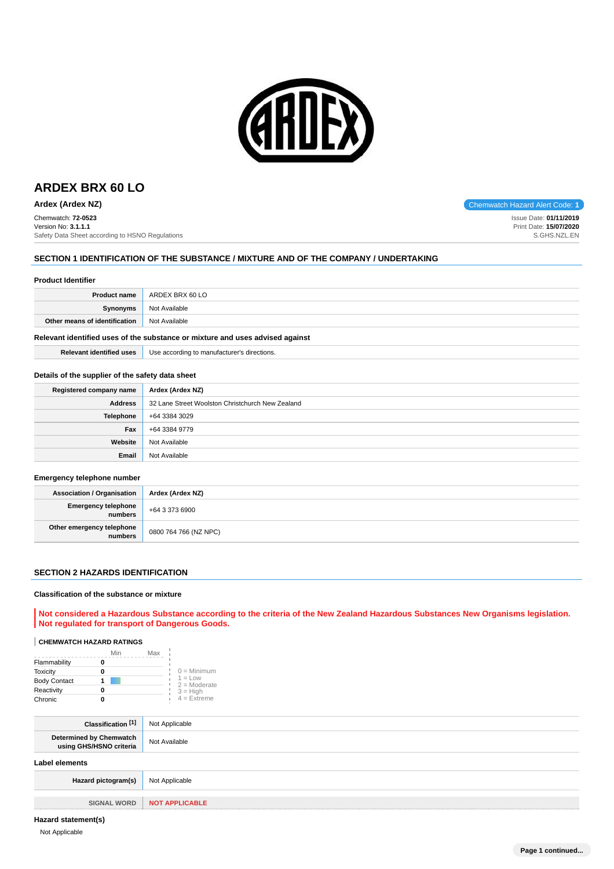

# **ARDEX BRX 60 LO**

**Ardex (Ardex NZ)** Chemwatch Hazard Alert Code: 1

Chemwatch: **72-0523** Version No: **3.1.1.1** Safety Data Sheet according to HSNO Regulations

## **SECTION 1 IDENTIFICATION OF THE SUBSTANCE / MIXTURE AND OF THE COMPANY / UNDERTAKING**

#### **Product Identifier**

|                               | <b>Product name</b> ARDEX BRX 60 LO |
|-------------------------------|-------------------------------------|
| Synonyms                      | Not Available                       |
| Other means of identification | Not Available                       |
|                               |                                     |

## **Relevant identified uses of the substance or mixture and uses advised against**

**Relevant identified uses** Use according to manufacturer's directions.

#### **Details of the supplier of the safety data sheet**

| Registered company name | Ardex (Ardex NZ)                                 |
|-------------------------|--------------------------------------------------|
| <b>Address</b>          | 32 Lane Street Woolston Christchurch New Zealand |
| Telephone               | +64 3384 3029                                    |
| Fax                     | +64 3384 9779                                    |
| Website                 | Not Available                                    |
| Email                   | Not Available                                    |

#### **Emergency telephone number**

| Association / Organisation           | Ardex (Ardex NZ)      |
|--------------------------------------|-----------------------|
| Emergency telephone<br>numbers       | $+6433736900$         |
| Other emergency telephone<br>numbers | 0800 764 766 (NZ NPC) |

#### **SECTION 2 HAZARDS IDENTIFICATION**

#### **Classification of the substance or mixture**

**Not considered a Hazardous Substance according to the criteria of the New Zealand Hazardous Substances New Organisms legislation. Not regulated for transport of Dangerous Goods.**

## **CHEMWATCH HAZARD RATINGS**

|                     | Max |                             |
|---------------------|-----|-----------------------------|
| Flammability        |     |                             |
| <b>Toxicity</b>     |     | $0 =$ Minimum               |
| <b>Body Contact</b> |     | $1 = Low$<br>$2 =$ Moderate |
| Reactivity          |     | $3 = High$                  |
| Chronic             |     | $4 = Ex$ <i>treme</i>       |

| Classification [1]                                 | Not Applicable        |
|----------------------------------------------------|-----------------------|
| Determined by Chemwatch<br>using GHS/HSNO criteria | Not Available         |
| Label elements                                     |                       |
| Hazard pictogram(s)                                | Not Applicable        |
|                                                    |                       |
| <b>SIGNAL WORD</b>                                 | <b>NOT APPLICABLE</b> |

## **Hazard statement(s)**

Not Applicable

Issue Date: **01/11/2019** Print Date: **15/07/2020** S.GHS.NZL.EN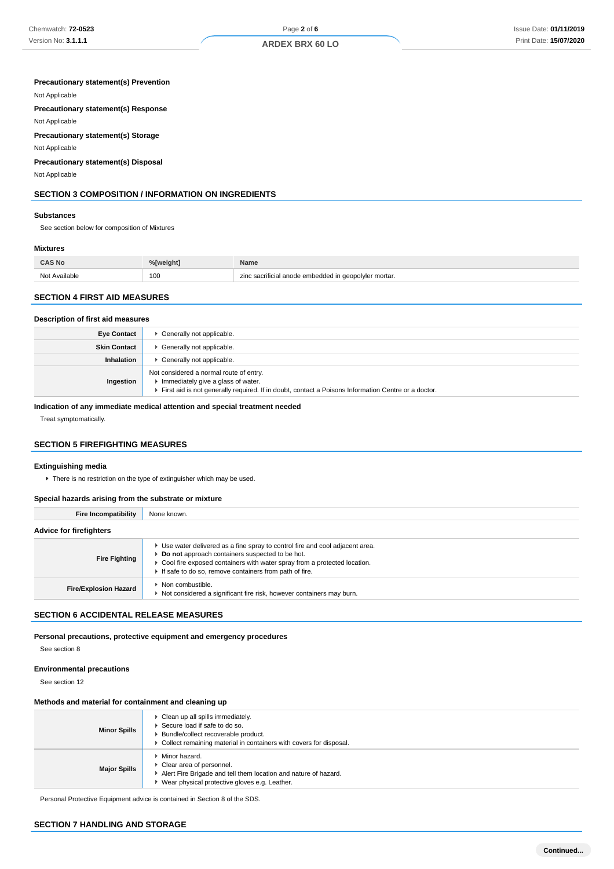## **ARDEX BRX 60 LO**

## **Precautionary statement(s) Prevention**

Not Applicable

**Precautionary statement(s) Response**

## Not Applicable

**Precautionary statement(s) Storage**

Not Applicable

## **Precautionary statement(s) Disposal**

Not Applicable

## **SECTION 3 COMPOSITION / INFORMATION ON INGREDIENTS**

#### **Substances**

See section below for composition of Mixtures

## **Mixtures**

| CAS No                      | <sup>0/</sup> Lucidas | <b>Name</b>                                               |
|-----------------------------|-----------------------|-----------------------------------------------------------|
| Not<br>Avoilable<br>7 L J I | 100                   | $\cdots$<br>ı qeopolyler mortar.<br>amhaddad<br>cuucu III |

## **SECTION 4 FIRST AID MEASURES**

#### **Description of first aid measures**

| <b>Eye Contact</b>  | Generally not applicable.                                                                                                                                                            |
|---------------------|--------------------------------------------------------------------------------------------------------------------------------------------------------------------------------------|
| <b>Skin Contact</b> | Generally not applicable.                                                                                                                                                            |
| Inhalation          | Generally not applicable.                                                                                                                                                            |
| Ingestion           | Not considered a normal route of entry.<br>Immediately give a glass of water.<br>First aid is not generally required. If in doubt, contact a Poisons Information Centre or a doctor. |

## **Indication of any immediate medical attention and special treatment needed**

Treat symptomatically.

## **SECTION 5 FIREFIGHTING MEASURES**

#### **Extinguishing media**

 $\blacktriangleright$  There is no restriction on the type of extinguisher which may be used.

## **Special hazards arising from the substrate or mixture**

| <b>Fire Incompatibility</b>    | None known.                                                                                                                                                                                                                                                              |  |  |
|--------------------------------|--------------------------------------------------------------------------------------------------------------------------------------------------------------------------------------------------------------------------------------------------------------------------|--|--|
| <b>Advice for firefighters</b> |                                                                                                                                                                                                                                                                          |  |  |
| <b>Fire Fighting</b>           | ► Use water delivered as a fine spray to control fire and cool adjacent area.<br>Do not approach containers suspected to be hot.<br>• Cool fire exposed containers with water spray from a protected location.<br>If safe to do so, remove containers from path of fire. |  |  |
| <b>Fire/Explosion Hazard</b>   | Non combustible.<br>Not considered a significant fire risk, however containers may burn.                                                                                                                                                                                 |  |  |

## **SECTION 6 ACCIDENTAL RELEASE MEASURES**

**Personal precautions, protective equipment and emergency procedures**

See section 8

#### **Environmental precautions**

See section 12

## **Methods and material for containment and cleaning up**

| <b>Minor Spills</b> | Clean up all spills immediately.<br>▶ Secure load if safe to do so.<br>Bundle/collect recoverable product.<br>▶ Collect remaining material in containers with covers for disposal.  |
|---------------------|-------------------------------------------------------------------------------------------------------------------------------------------------------------------------------------|
| <b>Major Spills</b> | $\blacktriangleright$ Minor hazard.<br>Clear area of personnel.<br>Alert Fire Brigade and tell them location and nature of hazard.<br>Wear physical protective gloves e.g. Leather. |

Personal Protective Equipment advice is contained in Section 8 of the SDS.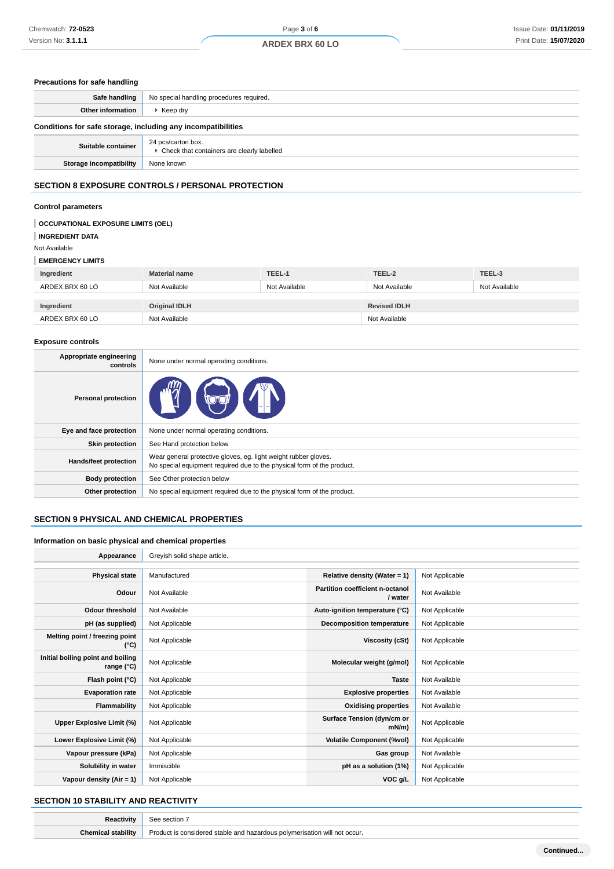## **Precautions for safe handling**

| Safe handling                                                | No special handling procedures required.                           |  |  |
|--------------------------------------------------------------|--------------------------------------------------------------------|--|--|
| Other information                                            | $\blacktriangleright$ Keep dry                                     |  |  |
| Conditions for safe storage, including any incompatibilities |                                                                    |  |  |
| Suitable container                                           | 24 pcs/carton box.<br>▶ Check that containers are clearly labelled |  |  |
| Storage incompatibility                                      | None known                                                         |  |  |
| AFATIAU A FVBAAUBE AAUTBALA (BEBAAULI BBATEATIAU             |                                                                    |  |  |

## **SECTION 8 EXPOSURE CONTROLS / PERSONAL PROTECTION**

## **Control parameters**

| <b>OCCUPATIONAL EXPOSURE LIMITS (OEL)</b><br><b>INGREDIENT DATA</b><br>Not Available |                      |               |                     |               |
|--------------------------------------------------------------------------------------|----------------------|---------------|---------------------|---------------|
| <b>EMERGENCY LIMITS</b>                                                              |                      |               |                     |               |
| Ingredient                                                                           | <b>Material name</b> | TEEL-1        | TEEL-2              | TEEL-3        |
| ARDEX BRX 60 LO                                                                      | Not Available        | Not Available | Not Available       | Not Available |
| Ingredient                                                                           | <b>Original IDLH</b> |               | <b>Revised IDLH</b> |               |
| ARDEX BRX 60 LO                                                                      | Not Available        |               | Not Available       |               |

#### **Exposure controls**

| Appropriate engineering<br>controls | None under normal operating conditions.                                                                                                   |  |
|-------------------------------------|-------------------------------------------------------------------------------------------------------------------------------------------|--|
| <b>Personal protection</b>          | <b>OUTER</b>                                                                                                                              |  |
| Eye and face protection             | None under normal operating conditions.                                                                                                   |  |
| <b>Skin protection</b>              | See Hand protection below                                                                                                                 |  |
| Hands/feet protection               | Wear general protective gloves, eg. light weight rubber gloves.<br>No special equipment required due to the physical form of the product. |  |
| <b>Body protection</b>              | See Other protection below                                                                                                                |  |
| Other protection                    | No special equipment required due to the physical form of the product.                                                                    |  |

## **SECTION 9 PHYSICAL AND CHEMICAL PROPERTIES**

## **Information on basic physical and chemical properties**

| Appearance                                      | Greyish solid shape article. |                                            |                |
|-------------------------------------------------|------------------------------|--------------------------------------------|----------------|
|                                                 |                              |                                            |                |
| <b>Physical state</b>                           | Manufactured                 | Relative density (Water = 1)               | Not Applicable |
| Odour                                           | Not Available                | Partition coefficient n-octanol<br>/ water | Not Available  |
| <b>Odour threshold</b>                          | Not Available                | Auto-ignition temperature (°C)             | Not Applicable |
| pH (as supplied)                                | Not Applicable               | <b>Decomposition temperature</b>           | Not Applicable |
| Melting point / freezing point<br>(°C)          | Not Applicable               | Viscosity (cSt)                            | Not Applicable |
| Initial boiling point and boiling<br>range (°C) | Not Applicable               | Molecular weight (g/mol)                   | Not Applicable |
| Flash point (°C)                                | Not Applicable               | <b>Taste</b>                               | Not Available  |
| <b>Evaporation rate</b>                         | Not Applicable               | <b>Explosive properties</b>                | Not Available  |
| Flammability                                    | Not Applicable               | <b>Oxidising properties</b>                | Not Available  |
| Upper Explosive Limit (%)                       | Not Applicable               | Surface Tension (dyn/cm or<br>$mN/m$ )     | Not Applicable |
| Lower Explosive Limit (%)                       | Not Applicable               | <b>Volatile Component (%vol)</b>           | Not Applicable |
| Vapour pressure (kPa)                           | Not Applicable               | Gas group                                  | Not Available  |
| Solubility in water                             | Immiscible                   | pH as a solution (1%)                      | Not Applicable |
| Vapour density $(Air = 1)$                      | Not Applicable               | VOC g/L                                    | Not Applicable |

## **SECTION 10 STABILITY AND REACTIVITY**

| r+nu+           | section 7                                                                       |
|-----------------|---------------------------------------------------------------------------------|
| `hom<br>abilitv | Product is considered stable and hazardous polymerisation will<br>'I not occur. |
|                 |                                                                                 |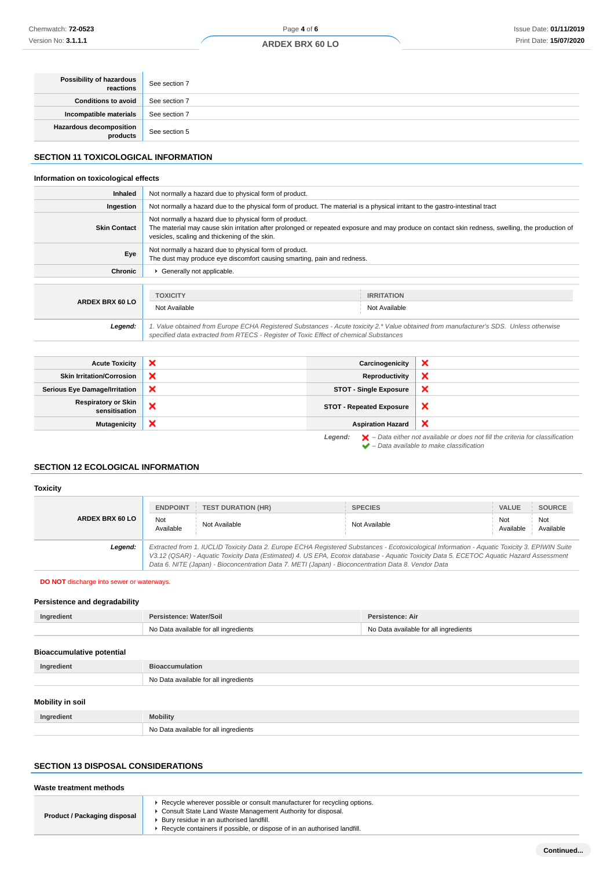| <b>ARDEX BRX 60 LO</b> |  |  |  |
|------------------------|--|--|--|
|------------------------|--|--|--|

| <b>Possibility of hazardous</b><br>reactions | See section 7 |
|----------------------------------------------|---------------|
| Conditions to avoid                          | See section 7 |
| Incompatible materials                       | See section 7 |
| Hazardous decomposition<br>products          | See section 5 |

## **SECTION 11 TOXICOLOGICAL INFORMATION**

## **Information on toxicological effects**

| <b>Inhaled</b>      | Not normally a hazard due to physical form of product.                                                                                                                                                                                                      |  |                                                                                                                                        |
|---------------------|-------------------------------------------------------------------------------------------------------------------------------------------------------------------------------------------------------------------------------------------------------------|--|----------------------------------------------------------------------------------------------------------------------------------------|
| Ingestion           | Not normally a hazard due to the physical form of product. The material is a physical irritant to the gastro-intestinal tract                                                                                                                               |  |                                                                                                                                        |
| <b>Skin Contact</b> | Not normally a hazard due to physical form of product.<br>The material may cause skin irritation after prolonged or repeated exposure and may produce on contact skin redness, swelling, the production of<br>vesicles, scaling and thickening of the skin. |  |                                                                                                                                        |
| Eye                 | Not normally a hazard due to physical form of product.<br>The dust may produce eye discomfort causing smarting, pain and redness.                                                                                                                           |  |                                                                                                                                        |
| Chronic             | Generally not applicable.                                                                                                                                                                                                                                   |  |                                                                                                                                        |
|                     |                                                                                                                                                                                                                                                             |  |                                                                                                                                        |
|                     | <b>TOXICITY</b>                                                                                                                                                                                                                                             |  | <b>IRRITATION</b>                                                                                                                      |
| ARDEX BRX 60 LO     | Not Available                                                                                                                                                                                                                                               |  | Not Available                                                                                                                          |
| Legend:             | specified data extracted from RTECS - Register of Toxic Effect of chemical Substances                                                                                                                                                                       |  | 1. Value obtained from Europe ECHA Registered Substances - Acute toxicity 2.* Value obtained from manufacturer's SDS. Unless otherwise |
|                     |                                                                                                                                                                                                                                                             |  |                                                                                                                                        |

| <b>Acute Toxicity</b>                       | $\boldsymbol{\mathsf{x}}$ | Carcinogenicity                 | ×                                                                                                                                                                   |
|---------------------------------------------|---------------------------|---------------------------------|---------------------------------------------------------------------------------------------------------------------------------------------------------------------|
| <b>Skin Irritation/Corrosion</b>            | ×                         | Reproductivity                  | ×                                                                                                                                                                   |
| <b>Serious Eye Damage/Irritation</b>        | ×                         | <b>STOT - Single Exposure</b>   | $\boldsymbol{\mathsf{x}}$                                                                                                                                           |
| <b>Respiratory or Skin</b><br>sensitisation | ×                         | <b>STOT - Repeated Exposure</b> | $\boldsymbol{\mathsf{x}}$                                                                                                                                           |
| <b>Mutagenicity</b>                         | ×                         | <b>Aspiration Hazard</b>        | $\boldsymbol{\times}$                                                                                                                                               |
|                                             |                           | Legend:                         | $\blacktriangleright$ - Data either not available or does not fill the criteria for classification<br>$\blacktriangleright$ - Data available to make classification |

## **SECTION 12 ECOLOGICAL INFORMATION**

## **Toxicity ARDEX BRX 60 LO ENDPOINT TEST DURATION (HR) SPECIES VALUE SOURCE** Not<br>Available Not<br>Available Not Available Not Available Not Available Not Available Not Available **Legend:** Extracted from 1. IUCLID Toxicity Data 2. Europe ECHA Registered Substances - Ecotoxicological Information - Aquatic Toxicity 3. EPIWIN Suite V3.12 (QSAR) - Aquatic Toxicity Data (Estimated) 4. US EPA, Ecotox database - Aquatic Toxicity Data 5. ECETOC Aquatic Hazard Assessment

**DO NOT** discharge into sewer or waterways.

## **Persistence and degradability**

| Ingredient | Persistence: Water/Soil               | Persistence: Air                      |
|------------|---------------------------------------|---------------------------------------|
|            | No Data available for all ingredients | No Data available for all ingredients |

Data 6. NITE (Japan) - Bioconcentration Data 7. METI (Japan) - Bioconcentration Data 8. Vendor Data

#### **Bioaccumulative potential**

| Ingredient              | <b>Bioaccumulation</b>                |
|-------------------------|---------------------------------------|
|                         | No Data available for all ingredients |
| <b>Mobility in soil</b> |                                       |

| Ingredient | <b>Mobility</b>                       |
|------------|---------------------------------------|
|            | No Data available for all ingredients |

## **SECTION 13 DISPOSAL CONSIDERATIONS**

| Waste treatment methods      |                                                                                                                                                                                                                                                                    |
|------------------------------|--------------------------------------------------------------------------------------------------------------------------------------------------------------------------------------------------------------------------------------------------------------------|
| Product / Packaging disposal | ► Recycle wherever possible or consult manufacturer for recycling options.<br>Consult State Land Waste Management Authority for disposal.<br>Bury residue in an authorised landfill.<br>▶ Recycle containers if possible, or dispose of in an authorised landfill. |

Available

Not Available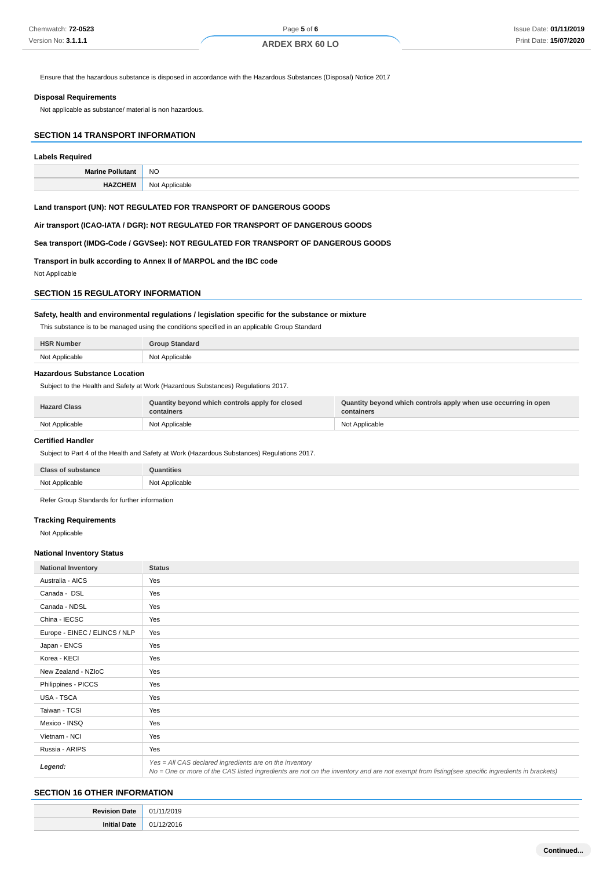Ensure that the hazardous substance is disposed in accordance with the Hazardous Substances (Disposal) Notice 2017

#### **Disposal Requirements**

Not applicable as substance/ material is non hazardous.

## **SECTION 14 TRANSPORT INFORMATION**

## **Labels Required**

| <b>NO</b>      |
|----------------|
| Not Applicable |

## **Land transport (UN): NOT REGULATED FOR TRANSPORT OF DANGEROUS GOODS**

**Air transport (ICAO-IATA / DGR): NOT REGULATED FOR TRANSPORT OF DANGEROUS GOODS**

**Sea transport (IMDG-Code / GGVSee): NOT REGULATED FOR TRANSPORT OF DANGEROUS GOODS**

**Transport in bulk according to Annex II of MARPOL and the IBC code**

Not Applicable

## **SECTION 15 REGULATORY INFORMATION**

## **Safety, health and environmental regulations / legislation specific for the substance or mixture**

This substance is to be managed using the conditions specified in an applicable Group Standard

| <b>HSR</b><br>. Number | Standaro          |
|------------------------|-------------------|
| Not Applicable         | Applicable<br>Not |

#### **Hazardous Substance Location**

Subject to the Health and Safety at Work (Hazardous Substances) Regulations 2017.

| <b>Hazard Class</b> | Quantity beyond which controls apply for closed<br>containers | Quantity beyond which controls apply when use occurring in open<br>containers |
|---------------------|---------------------------------------------------------------|-------------------------------------------------------------------------------|
| Not Applicable      | Not Applicable                                                | Not Applicable                                                                |

#### **Certified Handler**

Subject to Part 4 of the Health and Safety at Work (Hazardous Substances) Regulations 2017.

| <b>Class of substance</b> | Quantities     |
|---------------------------|----------------|
| Not Applicable            | Not Applicable |

Refer Group Standards for further information

#### **Tracking Requirements**

Not Applicable

#### **National Inventory Status**

| <b>National Inventory</b>     | <b>Status</b>                                                                                                                                                                                            |  |
|-------------------------------|----------------------------------------------------------------------------------------------------------------------------------------------------------------------------------------------------------|--|
| Australia - AICS              | Yes                                                                                                                                                                                                      |  |
| Canada - DSL                  | Yes                                                                                                                                                                                                      |  |
| Canada - NDSL                 | Yes                                                                                                                                                                                                      |  |
| China - IECSC                 | Yes                                                                                                                                                                                                      |  |
| Europe - EINEC / ELINCS / NLP | Yes                                                                                                                                                                                                      |  |
| Japan - ENCS                  | Yes                                                                                                                                                                                                      |  |
| Korea - KECI                  | Yes                                                                                                                                                                                                      |  |
| New Zealand - NZIoC           | Yes                                                                                                                                                                                                      |  |
| Philippines - PICCS           | Yes                                                                                                                                                                                                      |  |
| USA - TSCA                    | Yes                                                                                                                                                                                                      |  |
| Taiwan - TCSI                 | Yes                                                                                                                                                                                                      |  |
| Mexico - INSQ                 | Yes                                                                                                                                                                                                      |  |
| Vietnam - NCI                 | Yes                                                                                                                                                                                                      |  |
| Russia - ARIPS                | Yes                                                                                                                                                                                                      |  |
| Legend:                       | Yes = All CAS declared ingredients are on the inventory<br>No = One or more of the CAS listed ingredients are not on the inventory and are not exempt from listing(see specific ingredients in brackets) |  |

## **SECTION 16 OTHER INFORMATION**

| -- | . |
|----|---|
|    | . |